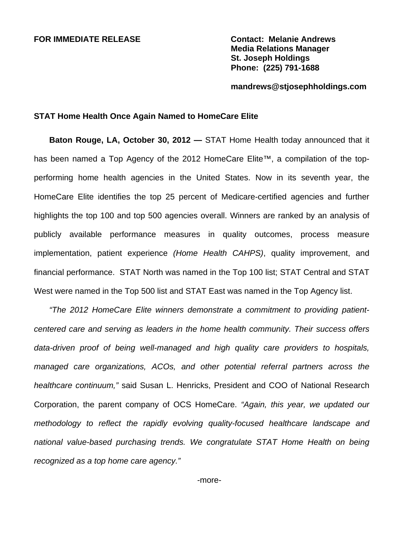## **FOR IMMEDIATE RELEASE Contact: Melanie Andrews**

**Media Relations Manager St. Joseph Holdings Phone: (225) 791-1688** 

**mandrews@stjosephholdings.com** 

## **STAT Home Health Once Again Named to HomeCare Elite**

**Baton Rouge, LA, October 30, 2012 —** STAT Home Health today announced that it has been named a Top Agency of the 2012 HomeCare Elite™, a compilation of the topperforming home health agencies in the United States. Now in its seventh year, the HomeCare Elite identifies the top 25 percent of Medicare-certified agencies and further highlights the top 100 and top 500 agencies overall. Winners are ranked by an analysis of publicly available performance measures in quality outcomes, process measure implementation, patient experience *(Home Health CAHPS)*, quality improvement, and financial performance. STAT North was named in the Top 100 list; STAT Central and STAT West were named in the Top 500 list and STAT East was named in the Top Agency list.

*"The 2012 HomeCare Elite winners demonstrate a commitment to providing patientcentered care and serving as leaders in the home health community. Their success offers data-driven proof of being well-managed and high quality care providers to hospitals, managed care organizations, ACOs, and other potential referral partners across the healthcare continuum,"* said Susan L. Henricks, President and COO of National Research Corporation, the parent company of OCS HomeCare. *"Again, this year, we updated our methodology to reflect the rapidly evolving quality-focused healthcare landscape and national value-based purchasing trends. We congratulate STAT Home Health on being recognized as a top home care agency."*